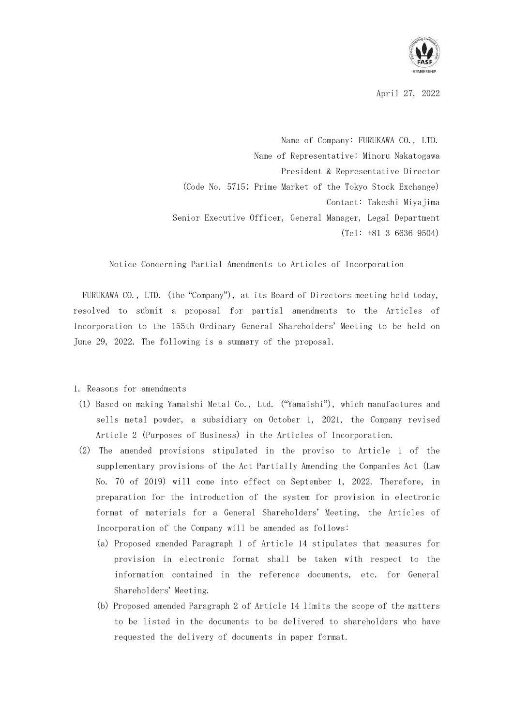

April 27, 2022

Name of Company: FURUKAWA CO., LTD. Name of Representative: Minoru Nakatogawa President & Representative Director (Code No. 5715; Prime Market of the Tokyo Stock Exchange) Contact: Takeshi Miyajima Senior Executive Officer, General Manager, Legal Department (Tel: +81 3 6636 9504)

Notice Concerning Partial Amendments to Articles of Incorporation

FURUKAWA CO., LTD. (the "Company"), at its Board of Directors meeting held today, resolved to submit a proposal for partial amendments to the Articles of Incorporation to the 155th Ordinary General Shareholders' Meeting to be held on June 29, 2022. The following is a summary of the proposal.

## 1. Reasons for amendments

- (1) Based on making Yamaishi Metal Co., Ltd. ("Yamaishi"), which manufactures and sells metal powder, a subsidiary on October 1, 2021, the Company revised Article 2 (Purposes of Business) in the Articles of Incorporation.
- (2) The amended provisions stipulated in the proviso to Article 1 of the supplementary provisions of the Act Partially Amending the Companies Act (Law No. 70 of 2019) will come into effect on September 1, 2022. Therefore, in preparation for the introduction of the system for provision in electronic format of materials for a General Shareholders' Meeting, the Articles of Incorporation of the Company will be amended as follows:
	- (a) Proposed amended Paragraph 1 of Article 14 stipulates that measures for provision in electronic format shall be taken with respect to the information contained in the reference documents, etc. for General Shareholders' Meeting.
	- (b) Proposed amended Paragraph 2 of Article 14 limits the scope of the matters to be listed in the documents to be delivered to shareholders who have requested the delivery of documents in paper format.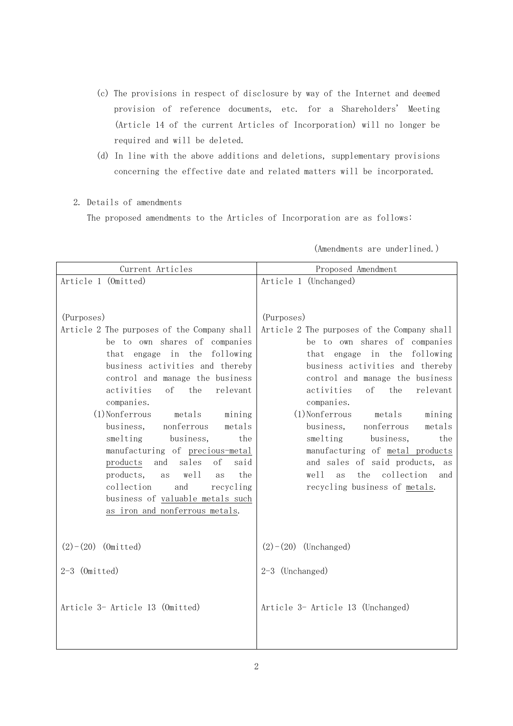- (c) The provisions in respect of disclosure by way of the Internet and deemed provision of reference documents, etc. for a Shareholders' Meeting (Article 14 of the current Articles of Incorporation) will no longer be required and will be deleted.
- (d) In line with the above additions and deletions, supplementary provisions concerning the effective date and related matters will be incorporated.
- 2. Details of amendments

The proposed amendments to the Articles of Incorporation are as follows:

| Current Articles                                                                                                                                                                                                                                                                                                                                                         | Proposed Amendment                                                                                                                                                                                                                                                                                                                                                 |
|--------------------------------------------------------------------------------------------------------------------------------------------------------------------------------------------------------------------------------------------------------------------------------------------------------------------------------------------------------------------------|--------------------------------------------------------------------------------------------------------------------------------------------------------------------------------------------------------------------------------------------------------------------------------------------------------------------------------------------------------------------|
| Article 1 (Omitted)                                                                                                                                                                                                                                                                                                                                                      | Article 1 (Unchanged)                                                                                                                                                                                                                                                                                                                                              |
| (Purposes)<br>Article 2 The purposes of the Company shall<br>be to own shares of companies<br>engage in the<br>following<br>that<br>business activities and thereby<br>control and manage the business<br>relevant<br>activities<br>of<br>the<br>companies.<br>$(1)$ Nonferrous<br>metals<br>mining<br>business,<br>nonferrous<br>metals<br>smelting<br>business,<br>the | (Purposes)<br>Article 2 The purposes of the Company shall<br>be to own shares of companies<br>that engage in the following<br>business activities and thereby<br>control and manage the business<br>activities<br>of<br>the<br>relevant<br>companies.<br>$(1)$ Nonferrous<br>metals<br>mining<br>business,<br>nonferrous<br>metals<br>smelting<br>business,<br>the |
| manufacturing of precious-metal<br>sales<br>of<br>said<br>and                                                                                                                                                                                                                                                                                                            | manufacturing of metal products<br>and sales of said products,                                                                                                                                                                                                                                                                                                     |
| products<br>products,<br>we11<br>the<br>as<br>as                                                                                                                                                                                                                                                                                                                         | as<br>the<br>collection<br>well<br>as<br>and                                                                                                                                                                                                                                                                                                                       |
| collection<br>and<br>recycling<br>business of valuable metals such                                                                                                                                                                                                                                                                                                       | recycling business of metals.                                                                                                                                                                                                                                                                                                                                      |
| as iron and nonferrous metals.                                                                                                                                                                                                                                                                                                                                           |                                                                                                                                                                                                                                                                                                                                                                    |
|                                                                                                                                                                                                                                                                                                                                                                          |                                                                                                                                                                                                                                                                                                                                                                    |
| $(2)-(20)$ (Omitted)                                                                                                                                                                                                                                                                                                                                                     | $(2)-(20)$ (Unchanged)                                                                                                                                                                                                                                                                                                                                             |
| $2-3$ (Omitted)                                                                                                                                                                                                                                                                                                                                                          | 2-3 (Unchanged)                                                                                                                                                                                                                                                                                                                                                    |
| Article 3- Article 13 (Omitted)                                                                                                                                                                                                                                                                                                                                          | Article 3- Article 13 (Unchanged)                                                                                                                                                                                                                                                                                                                                  |

(Amendments are underlined.)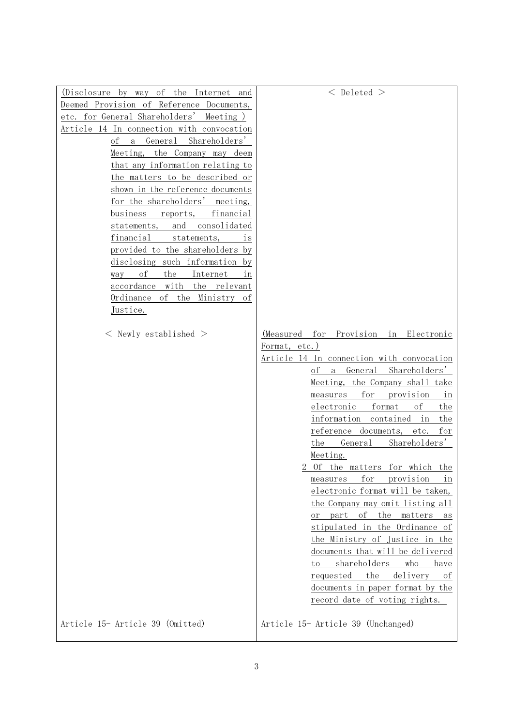| (Disclosure by way of the Internet and         | $<$ Deleted $>$                                            |
|------------------------------------------------|------------------------------------------------------------|
| Deemed Provision of Reference Documents,       |                                                            |
| etc. for General Shareholders' Meeting)        |                                                            |
| Article 14 In connection with convocation      |                                                            |
| Shareholders'<br>General<br>οf<br>$\mathbf{a}$ |                                                            |
| the Company may deem<br>Meeting,               |                                                            |
| that any information relating to               |                                                            |
| the matters to be described or                 |                                                            |
| shown in the reference documents               |                                                            |
| for the shareholders' meeting,                 |                                                            |
| business<br>financial<br>reports,              |                                                            |
| consolidated<br>and<br>statements,             |                                                            |
| financial<br>statements,<br>is                 |                                                            |
| provided to the shareholders by                |                                                            |
| disclosing such information<br>by              |                                                            |
| of<br>the<br>Internet<br>way<br>in             |                                                            |
| with<br>accordance<br>the relevant             |                                                            |
| of the Ministry<br>Ordinance<br>οf             |                                                            |
| Justice.                                       |                                                            |
|                                                |                                                            |
| $<$ Newly established $>$                      | for Provision in Electronic<br>(Measured                   |
|                                                | Format, etc.)                                              |
|                                                | Article 14 In connection with convocation                  |
|                                                | General<br>Shareholders'<br>οf<br>a                        |
|                                                | Meeting, the Company shall take                            |
|                                                | for<br>provision<br>measures<br>in<br>electronic<br>format |
|                                                | οf<br>the<br>information contained<br>the<br>in            |
|                                                | reference documents,<br>etc.<br>for                        |
|                                                | General<br>Shareholders'<br>the                            |
|                                                | Meeting.                                                   |
|                                                | 2 Of the matters for which the                             |
|                                                | for<br>provision<br>measures<br>ın                         |
|                                                | electronic format will be taken,                           |
|                                                | the Company may omit listing all                           |
|                                                | οf<br>the<br>part<br>matters<br>οr<br>as                   |
|                                                | stipulated in the Ordinance of                             |
|                                                | the Ministry of Justice in the                             |
|                                                | documents that will be delivered                           |
|                                                | shareholders<br>who<br>have<br>to                          |
|                                                | delivery<br>the<br>requested<br>οt                         |
|                                                | documents in paper format by the                           |
|                                                | record date of voting rights.                              |
|                                                |                                                            |
| Article 15- Article 39 (Omitted)               | Article 15- Article 39 (Unchanged)                         |
|                                                |                                                            |